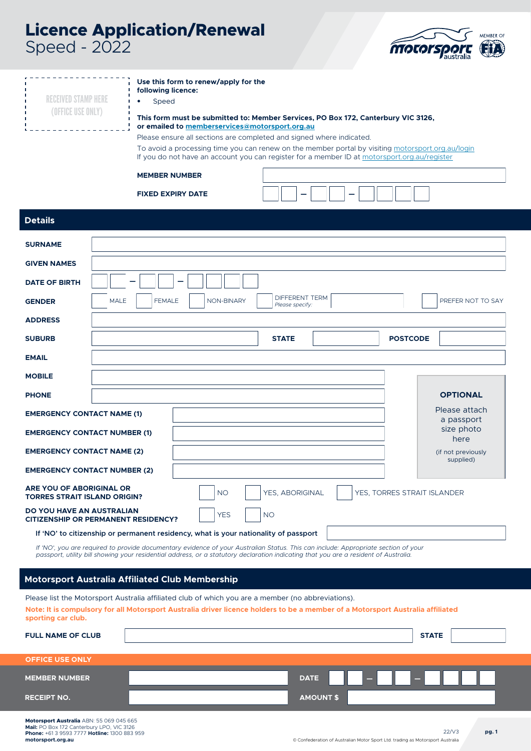# **Licence Application/Renewal** Speed - 2022



| Speed - 2022                                                            |                                                                                                                                                                                                                                                                                                                                                                                    |                                          | <b>MOCOL SPOLE</b>                                                                                |
|-------------------------------------------------------------------------|------------------------------------------------------------------------------------------------------------------------------------------------------------------------------------------------------------------------------------------------------------------------------------------------------------------------------------------------------------------------------------|------------------------------------------|---------------------------------------------------------------------------------------------------|
| <b>RECEIVED STAMP HERE</b><br>(OFFICE USE ONLY)                         | Use this form to renew/apply for the<br>following licence:<br>Speed<br>This form must be submitted to: Member Services, PO Box 172, Canterbury VIC 3126,<br>or emailed to memberservices@motorsport.org.au<br>Please ensure all sections are completed and signed where indicated.<br>If you do not have an account you can register for a member ID at motorsport.org.au/register |                                          | To avoid a processing time you can renew on the member portal by visiting motorsport.org.au/login |
|                                                                         | <b>MEMBER NUMBER</b>                                                                                                                                                                                                                                                                                                                                                               |                                          |                                                                                                   |
|                                                                         | <b>FIXED EXPIRY DATE</b>                                                                                                                                                                                                                                                                                                                                                           |                                          |                                                                                                   |
| <b>Details</b>                                                          |                                                                                                                                                                                                                                                                                                                                                                                    |                                          |                                                                                                   |
| <b>SURNAME</b>                                                          |                                                                                                                                                                                                                                                                                                                                                                                    |                                          |                                                                                                   |
| <b>GIVEN NAMES</b>                                                      |                                                                                                                                                                                                                                                                                                                                                                                    |                                          |                                                                                                   |
| <b>DATE OF BIRTH</b>                                                    |                                                                                                                                                                                                                                                                                                                                                                                    |                                          |                                                                                                   |
| <b>GENDER</b>                                                           | <b>MALE</b><br><b>FEMALE</b><br>NON-BINARY                                                                                                                                                                                                                                                                                                                                         | <b>DIFFERENT TERM</b><br>Please specify: | PREFER NOT TO SAY                                                                                 |
| <b>ADDRESS</b>                                                          |                                                                                                                                                                                                                                                                                                                                                                                    |                                          |                                                                                                   |
| <b>SUBURB</b>                                                           |                                                                                                                                                                                                                                                                                                                                                                                    | <b>STATE</b>                             | <b>POSTCODE</b>                                                                                   |
| <b>EMAIL</b>                                                            |                                                                                                                                                                                                                                                                                                                                                                                    |                                          |                                                                                                   |
| <b>MOBILE</b>                                                           |                                                                                                                                                                                                                                                                                                                                                                                    |                                          |                                                                                                   |
| <b>PHONE</b>                                                            |                                                                                                                                                                                                                                                                                                                                                                                    |                                          | <b>OPTIONAL</b>                                                                                   |
| <b>EMERGENCY CONTACT NAME (1)</b>                                       |                                                                                                                                                                                                                                                                                                                                                                                    |                                          | Please attach<br>a passport                                                                       |
| <b>EMERGENCY CONTACT NUMBER (1)</b>                                     |                                                                                                                                                                                                                                                                                                                                                                                    |                                          | size photo<br>here                                                                                |
| <b>EMERGENCY CONTACT NAME (2)</b>                                       |                                                                                                                                                                                                                                                                                                                                                                                    |                                          | (if not previously<br>supplied)                                                                   |
| <b>EMERGENCY CONTACT NUMBER (2)</b>                                     |                                                                                                                                                                                                                                                                                                                                                                                    |                                          |                                                                                                   |
| ARE YOU OF ABORIGINAL OR<br><b>TORRES STRAIT ISLAND ORIGIN?</b>         | <b>NO</b>                                                                                                                                                                                                                                                                                                                                                                          | YES, ABORIGINAL                          | YES, TORRES STRAIT ISLANDER                                                                       |
| DO YOU HAVE AN AUSTRALIAN<br><b>CITIZENSHIP OR PERMANENT RESIDENCY?</b> | <b>YES</b>                                                                                                                                                                                                                                                                                                                                                                         | <b>NO</b>                                |                                                                                                   |
|                                                                         | If 'NO' to citizenship or permanent residency, what is your nationality of passport                                                                                                                                                                                                                                                                                                |                                          |                                                                                                   |
|                                                                         | If 'NO', you are required to provide documentary evidence of your Australian Status. This can include: Appropriate section of your<br>passport, utility bill showing your residential address, or a statutory declaration indicating that you are a resident of Australia.                                                                                                         |                                          |                                                                                                   |
|                                                                         | <b>Motorsport Australia Affiliated Club Membership</b>                                                                                                                                                                                                                                                                                                                             |                                          |                                                                                                   |
|                                                                         | Please list the Motorsport Australia affiliated club of which you are a member (no abbreviations).                                                                                                                                                                                                                                                                                 |                                          |                                                                                                   |
| sporting car club.                                                      | Note: It is compulsory for all Motorsport Australia driver licence holders to be a member of a Motorsport Australia affiliated                                                                                                                                                                                                                                                     |                                          |                                                                                                   |

| ________                 |                  |
|--------------------------|------------------|
| <b>FULL NAME OF CLUB</b> | <b>STATE</b>     |
| <b>OFFICE USE ONLY</b>   |                  |
| <b>MEMBER NUMBER</b>     | Æ<br><b>DATE</b> |
| <b>RECEIPT NO.</b>       | <b>AMOUNT \$</b> |

**pg. 1**

22/V3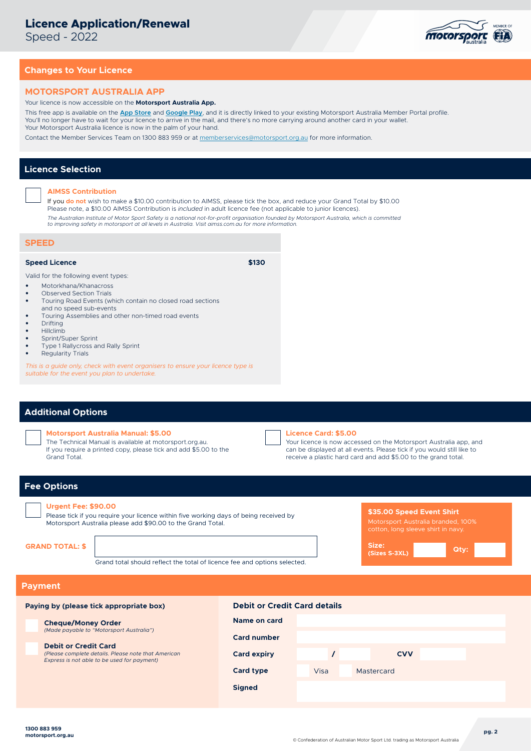# **Licence Application/Renewal**

Speed - 2022



# **Changes to Your Licence**

#### **MOTORSPORT AUSTRALIA APP**

#### Your licence is now accessible on the **Motorsport Australia App.**

This free app is available on the **[App Store](https://apps.apple.com/au/app/motorsport-australia/id1533757962)** and **[Google Play](https://play.google.com/store/apps/details?id=com.melbappdev.motorsportmembers)**, and it is directly linked to your existing Motorsport Australia Member Portal profile. You'll no longer have to wait for your licence to arrive in the mail, and there's no more carrying around another card in your wallet. Your Motorsport Australia licence is now in the palm of your hand.

Contact the Member Services Team on 1300 883 959 or at [memberservices@motorsport.org.au](mailto:memberservices%40motorsport.org.au?subject=) for more information.

# **Licence Selection**

#### **AIMSS Contribution**

If you **do not** wish to make a \$10.00 contribution to AIMSS, please tick the box, and reduce your Grand Total by \$10.00 Please note, a \$10.00 AIMSS Contribution is *included* in adult licence fee (not applicable to junior licences). *The Australian Institute of Motor Sport Safety is a national not-for-profit organisation founded by Motorsport Australia, which is committed* 

*to improving safety in motorsport at all levels in Australia. Visit aimss.com.au for more information.*

# **SPEED**

# **Speed Licence \$130**

Valid for the following event types:

- Motorkhana/Khanacross
- Observed Section Trials
- Touring Road Events (which contain no closed road sections and no speed sub-events
- Touring Assemblies and other non-timed road events
- Drifting
- Hillclimb
- Sprint/Super Sprint
- Type 1 Rallycross and Rally Sprint
- Regularity Trials

*This is a guide only, check with event organisers to ensure your licence type is suitable for the event you plan to undertake.*

# **Additional Options**

#### **Motorsport Australia Manual: \$5.00**

The Technical Manual is available at motorsport.org.au. If you require a printed copy, please tick and add \$5.00 to the Grand Total.



#### **Licence Card: \$5.00**

Your licence is now accessed on the Motorsport Australia app, and can be displayed at all events. Please tick if you would still like to receive a plastic hard card and add \$5.00 to the grand total.

# **Fee Options**

# **Urgent Fee: \$90.00**

Please tick if you require your licence within five working days of being received by Motorsport Australia please add \$90.00 to the Grand Total.

Grand total should reflect the total of licence fee and options selected.

### **\$35.00 Speed Event Shirt** Motorsport Australia branded, 100%



# **Payment**

| Paying by (please tick appropriate box)                                                                                           | <b>Debit or Credit Card details</b> |      |            |  |  |
|-----------------------------------------------------------------------------------------------------------------------------------|-------------------------------------|------|------------|--|--|
| <b>Cheque/Money Order</b>                                                                                                         | Name on card                        |      |            |  |  |
| (Made payable to "Motorsport Australia")                                                                                          | <b>Card number</b>                  |      |            |  |  |
| <b>Debit or Credit Card</b><br>(Please complete details. Please note that American<br>Express is not able to be used for payment) | <b>Card expiry</b>                  |      | <b>CVV</b> |  |  |
|                                                                                                                                   | <b>Card type</b>                    | Visa | Mastercard |  |  |
|                                                                                                                                   | <b>Signed</b>                       |      |            |  |  |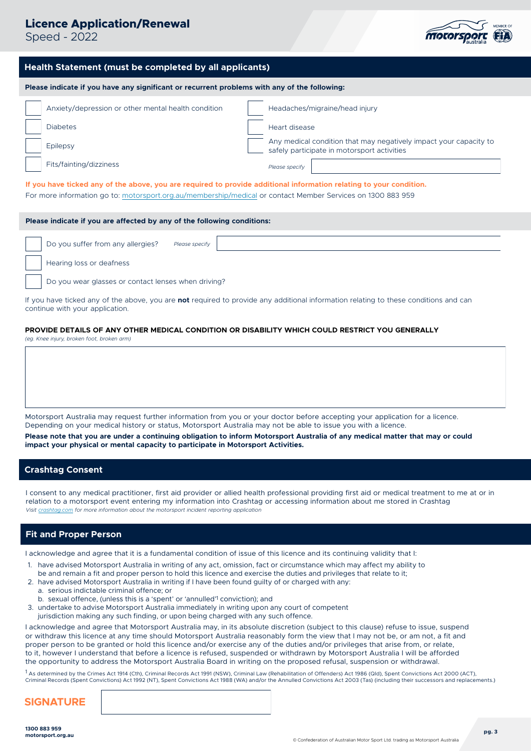# **Licence Application/Renewal**

Speed - 2022



# **Health Statement (must be completed by all applicants)**

**Please indicate if you have any significant or recurrent problems with any of the following:**

| Anxiety/depression or other mental health condition | Headaches/migraine/head injury                                                                                |  |
|-----------------------------------------------------|---------------------------------------------------------------------------------------------------------------|--|
| <b>Diabetes</b>                                     | Heart disease                                                                                                 |  |
| Epilepsy                                            | Any medical condition that may negatively impact your capacity to safely participate in motorsport activities |  |
| Fits/fainting/dizziness                             | Please specify                                                                                                |  |

**If you have ticked any of the above, you are required to provide additional information relating to your condition.**  For more information go to: [motorsport.org.au/membership/medical](https://motorsport.org.au/membership/medical) or contact Member Services on 1300 883 959

### **Please indicate if you are affected by any of the following conditions:**

| Do you suffer from any allergies?<br>Please specify |  |
|-----------------------------------------------------|--|
| Hearing loss or deafness                            |  |
| Do you wear glasses or contact lenses when driving? |  |

If you have ticked any of the above, you are **not** required to provide any additional information relating to these conditions and can continue with your application.

#### **PROVIDE DETAILS OF ANY OTHER MEDICAL CONDITION OR DISABILITY WHICH COULD RESTRICT YOU GENERALLY**

*(eg. Knee injury, broken foot, broken arm)*

Motorsport Australia may request further information from you or your doctor before accepting your application for a licence. Depending on your medical history or status, Motorsport Australia may not be able to issue you with a licence.

**Please note that you are under a continuing obligation to inform Motorsport Australia of any medical matter that may or could impact your physical or mental capacity to participate in Motorsport Activities.**

# **Crashtag Consent**

I consent to any medical practitioner, first aid provider or allied health professional providing first aid or medical treatment to me at or in relation to a motorsport event entering my information into Crashtag or accessing information about me stored in Crashtag *Visit [crashtag.com](https://crashtag.com/) for more information about the motorsport incident reporting application*

# **Fit and Proper Person**

I acknowledge and agree that it is a fundamental condition of issue of this licence and its continuing validity that I:

- 1. have advised Motorsport Australia in writing of any act, omission, fact or circumstance which may affect my ability to be and remain a fit and proper person to hold this licence and exercise the duties and privileges that relate to it;
- 2. have advised Motorsport Australia in writing if I have been found guilty of or charged with any: a. serious indictable criminal offence; or
- b. sexual offence, (unless this is a 'spent' or 'annulled'1 conviction); and
- 3. undertake to advise Motorsport Australia immediately in writing upon any court of competent
- jurisdiction making any such finding, or upon being charged with any such offence.

I acknowledge and agree that Motorsport Australia may, in its absolute discretion (subject to this clause) refuse to issue, suspend or withdraw this licence at any time should Motorsport Australia reasonably form the view that I may not be, or am not, a fit and proper person to be granted or hold this licence and/or exercise any of the duties and/or privileges that arise from, or relate, to it, however I understand that before a licence is refused, suspended or withdrawn by Motorsport Australia I will be afforded the opportunity to address the Motorsport Australia Board in writing on the proposed refusal, suspension or withdrawal.

1 As determined by the Crimes Act 1914 (Cth), Criminal Records Act 1991 (NSW), Criminal Law (Rehabilitation of Offenders) Act 1986 (Qld), Spent Convictions Act 2000 (ACT), Criminal Records (Spent Convictions) Act 1992 (NT), Spent Convictions Act 1988 (WA) and/or the Annulled Convictions Act 2003 (Tas) (including their successors and replacements.)

**SIGNATURE**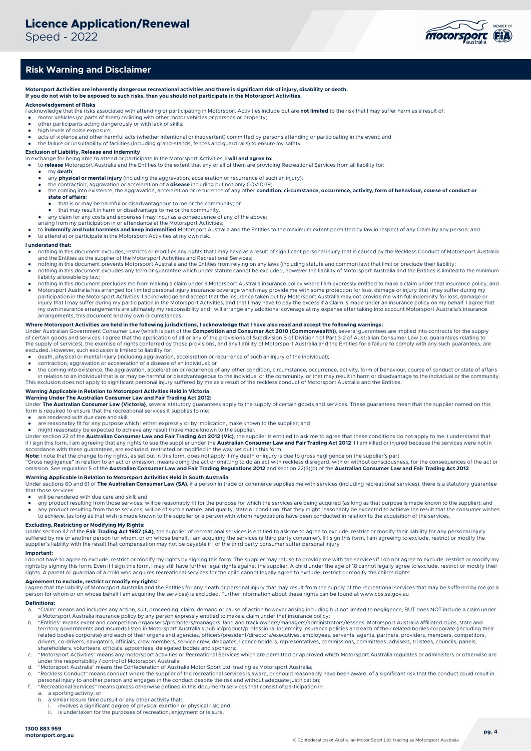Speed - 2022



# **Risk Warning and Disclaimer**

**Motorsport Activities are inherently dangerous recreational activities and there is significant risk of injury, disability or death. If you do not wish to be exposed to such risks, then you should not participate in the Motorsport Activities.**

#### **Acknowledgement of Risks**

- I acknowledge that the risks associated with attending or participating in Motorsport Activities include but are **not limited** to the risk that I may suffer harm as a result of:
- motor vehicles (or parts of them) colliding with other motor vehicles or persons or property; other participants acting dangerously or with lack of skills;
- high levels of noise exposure;
- 
- acts of violence and other harmful acts (whether intentional or inadvertent) committed by persons attending or participating in the event; and and the failure or unsuitability of facilities (including grand-stands, fences

**Exclusion of Liability, Release and Indemnity** In exchange for being able to attend or participate in the Motorsport Activities, **I will and agree to:**  to **release** Motorsport Australia and the Entities to the extent that any or all of them are providing Recreational Services from all liability for:

- my **death**;
- any **physical or mental injury** (including the aggravation, acceleration or recurrence of such an injury);
- 
- the contraction, aggravation or acceleration of a **disease** including but not only COVID-19;<br>• the coming into existence, the aggravation, acceleration or recurrence of any other **condition, circumstance, occurrence, act state of affairs:**
	- that is or may be harmful or disadvantageous to me or the community; or
	- that no or may be naminal or allocation aggregate to me or the community,
- any claim for any costs and expenses I may incur as a consequence of any of the above; arising from my participation in or attendance at the Motorsport Activities;
- 
- to indemnify and hold harmless and keep indemnified Motorsport Australia and the Entities to the maximum extent permitted by law in respect of any Claim by any person; and to attend at or participate in the Motorsport Activities at my own risk.

#### **I understand that:**

- nothing in this document excludes, restricts or modifies any rights that I may have as a result of significant personal injury that is caused by the Reckless Conduct of Motorsport Australia and the Entities as the supplier of the Motorsport Activities and Recreational Services;
- nothing in this document prevents Motorsport Australia and the Entities from relying on any laws (including statute and common law) that limit or preclude their liability; nothing in this document excludes any term or quarantee which under statute cannot be excluded, however the liability of Motorsport Australia and the Entities is limited to the minimum nothinum provided to the minimum mate
- liability allowable by law; nothing in this document precludes me from making a claim under a Motorsport Australia insurance policy where I am expressly entitled to make a claim under that insurance policy; and
- Motorsport Australia has arranged for limited personal injury insurance coverage which may provide me with some protection for loss, damage or injury that I may suffer during my participation in the Motorsport Activities. I acknowledge and accept that the insurance taken out by Motorsport Australia may not provide me with full indemnity for loss, damage or<br>injury that I may suffer during my partic my own insurance arrangements are ultimately my responsibility and I will arrange any additional coverage at my expense after taking into account Motorsport Australia's insurance arrangements, this document and my own circumstances.

#### **Where Motorsport Activities are held in the following jurisdictions, I acknowledge that I have also read and accept the following warnings:**

Under Australian Government Consumer Law (which is part of the **Competition and Consumer Act 2010 (Commonwealth)**), several guarantees are implied into contracts for the supply of certain goods and services. I agree that the application of all or any of the provisions of Subdivision B of Division 1 of Part 3-2 of Australian Consumer Law (i.e. guarantees relating to the supply of services), the exercise of rights conferred by those provisions, and any liability of Motorsport Australia and the Entities for a failure to comply with any such guarantees, are<br>excluded. However, such exclus

- 
- death, physical or mental injury (including aggravation, acceleration or recurrence of such an injury of the individual);<br>● contraction, aggravation or acceleration of a disease of an individual; or
- the coming into existence, the aggravation, acceleration or recurrence of any other condition, circumstance, occurrence, activity, form of behaviour, course of conduct or state of affairs<br>in relation to an individual that

This exclusion does not apply to significant personal injury suffered by me as a result of the reckless conduct of Motorsport Australia and the Entities.

#### **Warning Applicable in Relation to Motorsport Activities Held in Victoria Warning Under The Australian Consumer Law and Fair Trading Act 2012:**

Under The Australian Consumer Law (Victoria), several statutory guarantees apply to the supply of certain goods and services. These guarantees mean that the supplier named on this form is required to ensure that the recreational services it supplies to me

- are rendered with due care and skill;
- are reasonably fit for any purpose which I either expressly or by implication, make known to the supplier; and
- might reasonably be expected to achieve any result I have made known to the supplier.<br>Under section 22 of the **Australian Consumer Law and Fair Trading Act 2012 (Vic)**, the supplier is entitled to ask me to agree that t if I sign this form, I am agreeing that any rights to sue the supplier under the **Australian Consumer Law and Fair Trading Act 2012** if I am killed or injured because the services were not in
- accordance with these guarantees, are excluded, restricted or modified in the way set out in this form.<br>**Note:** I note that the change to my rights, as set out in this form, does not apply if my death or injury is due to g

"Gross negligence" in relation to an act or omission, means doing the act or omitting to do an act with reckless disregard, with or without consciousness, for the consequences of the act or<br>omission. See regulation 5 of th

**Warning Applicable in Relation to Motorsport Activities Held in South Australia**<br>Under sections 60 and 61 of **The Australian Consumer Law (SA)**, if a person in trade or commerce supplies me with services (including recrea that those services:

will be rendered with due care and skill; and

- any product resulting from those services, will be reasonably fit for the purpose for which the services are being acquired (as long as that purpose is made known to the supplier); and<br>● any product resulting from those any product resulting from those services, will be of such a nature, and quality, state or condition, that they might reasonably be expected to achieve the result that the consumer wishes
- to achieve, (as long as that wish is made known to the supplier or a person with whom negotiations have been conducted in relation to the acquisition of the services.

#### **Excluding, Restricting or Modifying My Rights:**

Under section 42 of the **Fair Trading Act 1987 (SA)**, the supplier of recreational services is entitled to ask me to agree to exclude, restrict or modify their liability for any personal injury<br>suffered by me or another pe supplier's liability with the result that compensation may not be payable if I or the third party consumer suffer personal injury.

#### **Important:**

I do not have to agree to exclude, restrict or modify my rights by signing this form. The supplier may refuse to provide me with the services if I do not agree to exclude, restrict or modify my<br>rights by signing this form. rights. A parent or guardian of a child who acquires recreational services for the child cannot legally agree to exclude, restrict or modify the child's rights.

#### **Agreement to exclude, restrict or modify my rights:**

I agree that the liability of Motorsport Australia and the Entities for any death or personal injury that may result from the supply of the recreational services that may be suffered by me (or a<br>person for whom or on whose

### **Definitions:**

- a. "Claim" means and includes any action, suit, proceeding, claim, demand or cause of action however arising including but not limited to negligence, BUT does NOT include a claim under a Motorsport Australia insurance policy by any person expressly entitled to make a claim under that insurance policy;
- b. "Entities" means event and competition organisers/promoters/managers, land and track owners/managers/administrators/lessees, Motorsport Australia affiliated clubs, state and<br>territory governments and insureds listed in related bodies corporate) and each of their organs and agencies, officers/president/directors/executives, employees, servants, agents, partners, providers, members, competitors, drivers, co-drivers, navigators, officials, crew members, service crew, delegates, licence holders, representatives, commissions, committees, advisers, trustees, councils, panels,<br>shareholders, volunteers, officials, appoi
- c. "Motorsport Activities" means any motorsport activities or Recreational Services which are permitted or approved which Motorsport Australia regulates or administers or otherwise are<br>under the responsibility / control of
- d. "Motorsport Australia" means the Confederation of Australia Motor Sport Ltd. trading as Motorsport Australia;
- e. "Reckless Conduct" means conduct where the supplier of the recreational services is aware, or should reasonably have been aware, of a significant risk that the conduct could result in personal injury to another person and engages in the conduct despite the risk and without adequate justification;
- f. "Recreational Services" means (unless otherwise defined in this document) services that consist of participation in:
	- a. a sporting activity; or<br>b. a similar leisure time in
		- a similar leisure time pursuit or any other activity that:
		- i. involves a significant degree of physical exertion or physical risk; and<br>i. is undertaken for the purposes of recreation opieves at leisure
		- is undertaken for the purposes of recreation, enjoyment or leisure